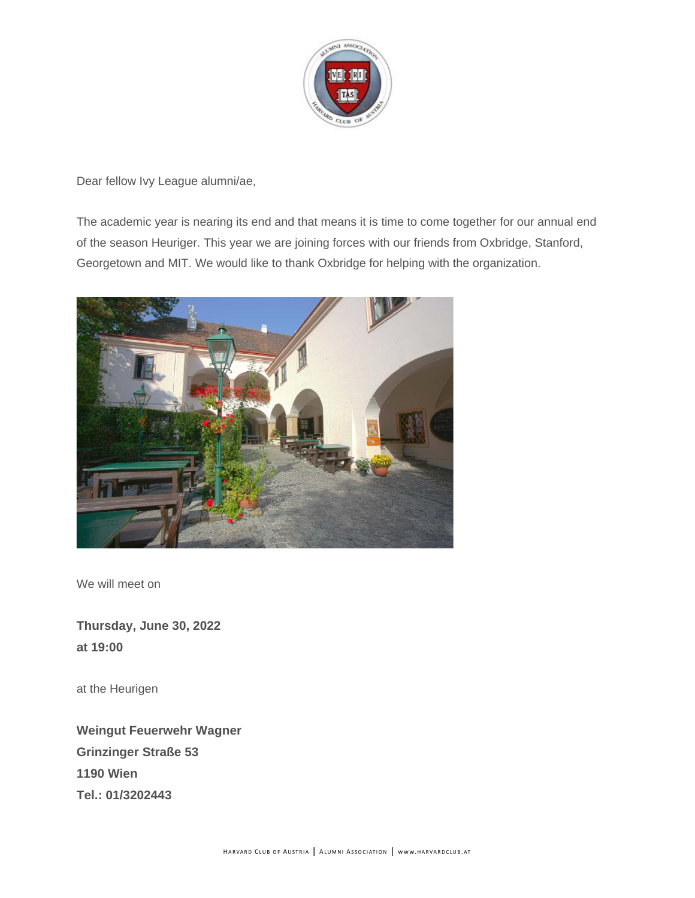

Dear fellow Ivy League alumni/ae,

The academic year is nearing its end and that means it is time to come together for our annual end of the season Heuriger. This year we are joining forces with our friends from Oxbridge, Stanford, Georgetown and MIT. We would like to thank Oxbridge for helping with the organization.



We will meet on

**Thursday, June 30, 2022 at 19:00**

at the Heurigen

**Weingut Feuerwehr Wagner Grinzinger Straße 53 1190 Wien Tel.: 01/3202443**